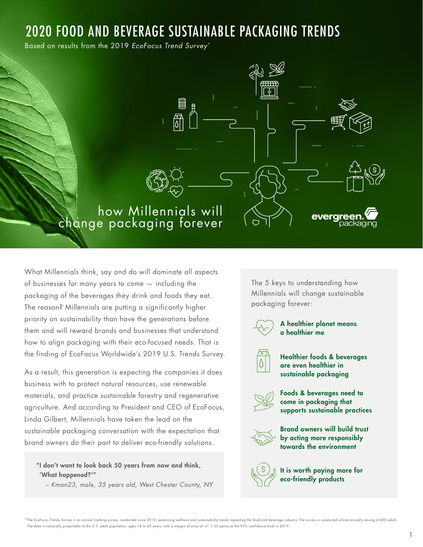# 2020 FOOD AND BEVERAGE SUSTAINABLE PACKAGING TRENDS

Based on results from the 2019 EcoFocus Trend Survey\*



What Millennials think, say and do will dominate all aspects of businesses for many years to come — including the packaging of the beverages they drink and foods they eat. The reason? Millennials are putting a significantly higher priority on sustainability than have the generations before them and will reward brands and businesses that understand how to align packaging with their eco-focused needs. That is the finding of EcoFocus Worldwide's 2019 U.S. Trends Survey.

As a result, this generation is expecting the companies it does business with to protect natural resources, use renewable materials, and practice sustainable forestry and regenerative agriculture. And according to President and CEO of EcoFocus, Linda Gilbert, Millennials have taken the lead on the sustainable packaging conversation with the expectation that brand owners do their part to deliver eco-friendly solutions.

"I don't want to look back 50 years from now and think, 'What happened?'"

– Kman23, male, 35 years old, West Chester County, NY

The 5 keys to understanding how Millennials will change sustainable packaging forever:

A healthier planet means a healthier me

Healthier foods & beverages are even healthier in sustainable packaging



Foods & beverages need to come in packaging that supports sustainable practices



Brand owners will build trust by acting more responsibly towards the environment



It is worth paying more for eco-friendly products

\*The EcoFocus Trends Survey is an annual tracking survey, conducted since 2010, examining wellness and sustainability trends impacting the food and beverage industry. The survey is conducted online annually among 4,000 adu The data is nationally projectable to the U.S. adult population, ages 18 to 65 years, with a margin of error of +/- 1.55 points at the 95% confidence level in 2019.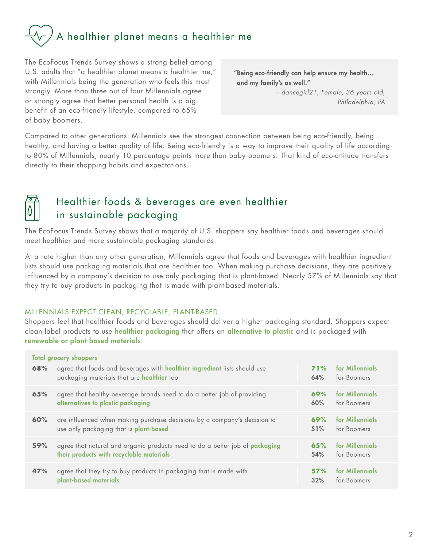# A healthier planet means a healthier me

The EcoFocus Trends Survey shows a strong belief among U.S. adults that "a healthier planet means a healthier me," with Millennials being the generation who feels this most strongly. More than three out of four Millennials agree or strongly agree that better personal health is a big benefit of an eco-friendly lifestyle, compared to 65% of baby boomers.

"Being eco-friendly can help ensure my health… and my family's as well."

> – dancegirl21, Female, 36 years old, Philadelphia, PA

Compared to other generations, Millennials see the strongest connection between being eco-friendly, being healthy, and having a better quality of life. Being eco-friendly is a way to improve their quality of life according to 80% of Millennials, nearly 10 percentage points more than baby boomers. That kind of eco-attitude transfers directly to their shopping habits and expectations.



# Healthier foods & beverages are even healthier in sustainable packaging

The EcoFocus Trends Survey shows that a majority of U.S. shoppers say healthier foods and beverages should meet healthier and more sustainable packaging standards.

At a rate higher than any other generation, Millennials agree that foods and beverages with healthier ingredient lists should use packaging materials that are healthier too. When making purchase decisions, they are positively influenced by a company's decision to use only packaging that is plant-based. Nearly 57% of Millennials say that they try to buy products in packaging that is made with plant-based materials.

#### MILLENNIALS EXPECT CLEAN, RECYCLABLE, PLANT-BASED

Shoppers feel that healthier foods and beverages should deliver a higher packaging standard. Shoppers expect clean label products to use healthier packaging that offers an alternative to plastic and is packaged with renewable or plant-based materials.

| 68% | <b>Total grocery shoppers</b><br>agree that foods and beverages with healthier ingredient lists should use<br>packaging materials that are healthier too | <b>71%</b><br>64% | for Millennials<br>for Boomers |
|-----|----------------------------------------------------------------------------------------------------------------------------------------------------------|-------------------|--------------------------------|
| 65% | agree that healthy beverage brands need to do a better job of providing                                                                                  | 69%               | for Millennials                |
|     | alternatives to plastic packaging                                                                                                                        | 60%               | for Boomers                    |
| 60% | are influenced when making purchase decisions by a company's decision to                                                                                 | 69%               | for Millennials                |
|     | use only packaging that is plant-based                                                                                                                   | 51%               | for Boomers                    |
| 59% | agree that natural and organic products need to do a better job of packaging                                                                             | 65%               | for Millennials                |
|     | their products with recyclable materials                                                                                                                 | 54%               | for Boomers                    |
| 47% | agree that they try to buy products in packaging that is made with                                                                                       | 57%               | for Millennials                |
|     | plant-based materials                                                                                                                                    | 32%               | for Boomers                    |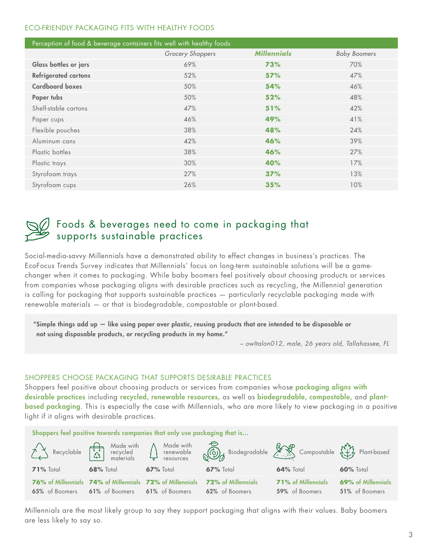#### ECO-FRIENDLY PACKAGING FITS WITH HEALTHY FOODS

| Perception of food & beverage containers fits well with healthy foods |                  |                    |                     |  |
|-----------------------------------------------------------------------|------------------|--------------------|---------------------|--|
|                                                                       | Grocery Shoppers | <b>Millennials</b> | <b>Baby Boomers</b> |  |
| Glass bottles or jars                                                 | 69%              | 73%                | 70%                 |  |
| <b>Refrigerated cartons</b>                                           | 52%              | 57%                | 47%                 |  |
| <b>Cardboard boxes</b>                                                | 50%              | 54%                | 46%                 |  |
| <b>Paper tubs</b>                                                     | 50%              | 52%                | 48%                 |  |
| Shelf-stable cartons                                                  | 47%              | 51%                | 42%                 |  |
| Paper cups                                                            | 46%              | 49%                | 41%                 |  |
| Flexible pouches                                                      | 38%              | 48%                | 24%                 |  |
| Aluminum cans                                                         | 42%              | 46%                | 39%                 |  |
| Plastic bottles                                                       | 38%              | 46%                | 27%                 |  |
| Plastic trays                                                         | 30%              | 40%                | 17%                 |  |
| Styrofoam trays                                                       | 27%              | 37%                | 13%                 |  |
| Styrofoam cups                                                        | 26%              | 35%                | 10%                 |  |



### Foods & beverages need to come in packaging that supports sustainable practices

Social-media-savvy Millennials have a demonstrated ability to effect changes in business's practices. The EcoFocus Trends Survey indicates that Millennials' focus on long-term sustainable solutions will be a gamechanger when it comes to packaging. While baby boomers feel positively about choosing products or services from companies whose packaging aligns with desirable practices such as recycling, the Millennial generation is calling for packaging that supports sustainable practices — particularly recyclable packaging made with renewable materials — or that is biodegradable, compostable or plant-based.

"Simple things add up — like using paper over plastic, reusing products that are intended to be disposable or not using disposable products, or recycling products in my home."

– owItalon012, male, 26 years old, Tallahassee, FL

#### SHOPPERS CHOOSE PACKAGING THAT SUPPORTS DESIRABLE PRACTICES

Shoppers feel positive about choosing products or services from companies whose packaging aligns with desirable practices including recycled, renewable resources, as well as biodegradable, compostable, and plantbased packaging. This is especially the case with Millennials, who are more likely to view packaging in a positive light if it aligns with desirable practices.

Shoppers feel positive towards companies that only use packaging that is...



Millennials are the most likely group to say they support packaging that aligns with their values. Baby boomers are less likely to say so.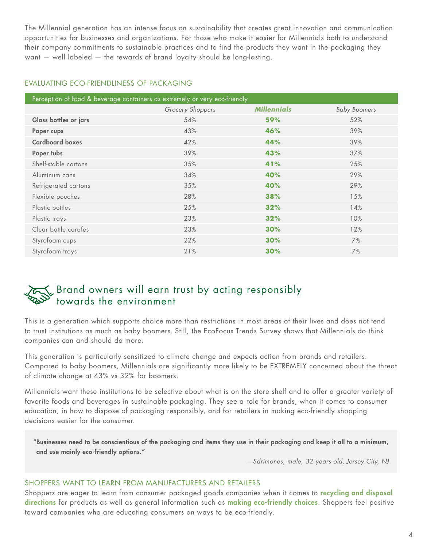The Millennial generation has an intense focus on sustainability that creates great innovation and communication opportunities for businesses and organizations. For those who make it easier for Millennials both to understand their company commitments to sustainable practices and to find the products they want in the packaging they want — well labeled — the rewards of brand loyalty should be long-lasting.

#### EVALUATING ECO-FRIENDLINESS OF PACKAGING

| Perception of food & beverage containers as extremely or very eco-friendly |                  |                    |                     |
|----------------------------------------------------------------------------|------------------|--------------------|---------------------|
|                                                                            | Grocery Shoppers | <b>Millennials</b> | <b>Baby Boomers</b> |
| Glass bottles or jars                                                      | 54%              | 59%                | 52%                 |
| Paper cups                                                                 | 43%              | 46%                | 39%                 |
| <b>Cardboard boxes</b>                                                     | 42%              | 44%                | 39%                 |
| Paper tubs                                                                 | 39%              | 43%                | 37%                 |
| Shelf-stable cartons                                                       | 35%              | 41%                | 25%                 |
| Aluminum cans                                                              | 34%              | 40%                | 29%                 |
| Refrigerated cartons                                                       | 35%              | 40%                | 29%                 |
| Flexible pouches                                                           | 28%              | 38%                | 15%                 |
| Plastic bottles                                                            | 25%              | 32%                | 14%                 |
| Plastic trays                                                              | 23%              | 32%                | 10%                 |
| Clear bottle carafes                                                       | 23%              | 30%                | 12%                 |
| Styrofoam cups                                                             | 22%              | 30%                | 7%                  |
| Styrofoam trays                                                            | 21%              | 30%                | 7%                  |

## Brand owners will earn trust by acting responsibly towards the environment

This is a generation which supports choice more than restrictions in most areas of their lives and does not tend to trust institutions as much as baby boomers. Still, the EcoFocus Trends Survey shows that Millennials do think companies can and should do more.

This generation is particularly sensitized to climate change and expects action from brands and retailers. Compared to baby boomers, Millennials are significantly more likely to be EXTREMELY concerned about the threat of climate change at 43% vs 32% for boomers.

Millennials want these institutions to be selective about what is on the store shelf and to offer a greater variety of favorite foods and beverages in sustainable packaging. They see a role for brands, when it comes to consumer education, in how to dispose of packaging responsibly, and for retailers in making eco-friendly shopping decisions easier for the consumer.

"Businesses need to be conscientious of the packaging and items they use in their packaging and keep it all to a minimum, and use mainly eco-friendly options."

– Sdrimones, male, 32 years old, Jersey City, NJ

#### SHOPPERS WANT TO LEARN FROM MANUFACTURERS AND RETAILERS

Shoppers are eager to learn from consumer packaged goods companies when it comes to recycling and disposal directions for products as well as general information such as making eco-friendly choices. Shoppers feel positive toward companies who are educating consumers on ways to be eco-friendly.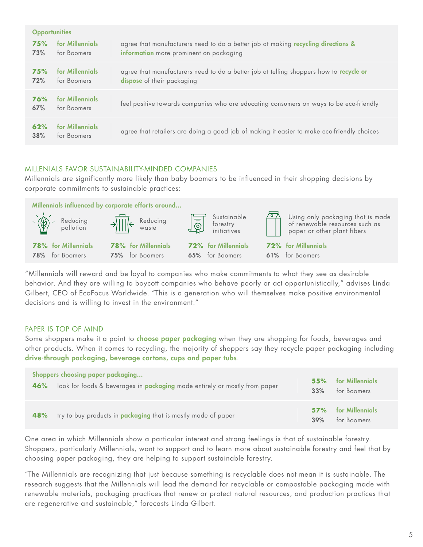| <b>Opportunities</b> |                                |                                                                                                                              |  |
|----------------------|--------------------------------|------------------------------------------------------------------------------------------------------------------------------|--|
| 75%<br>73%           | for Millennials<br>for Boomers | agree that manufacturers need to do a better job at making recycling directions &<br>information more prominent on packaging |  |
| 75%<br>72%           | for Millennials<br>for Boomers | agree that manufacturers need to do a better job at telling shoppers how to recycle or<br>dispose of their packaging         |  |
| 76%<br>67%           | for Millennials<br>for Boomers | feel positive towards companies who are educating consumers on ways to be eco-friendly                                       |  |
| 62%<br>38%           | for Millennials<br>for Boomers | agree that retailers are doing a good job of making it easier to make eco-friendly choices                                   |  |

#### MILLENIALS FAVOR SUSTAINABILITY-MINDED COMPANIES

Millennials are significantly more likely than baby boomers to be influenced in their shopping decisions by corporate commitments to sustainable practices:

|                                                      | Millennials influenced by corporate efforts around                                                                                                                                                                                                                                                                                                                                                                                     |                                               |                                                                                                    |
|------------------------------------------------------|----------------------------------------------------------------------------------------------------------------------------------------------------------------------------------------------------------------------------------------------------------------------------------------------------------------------------------------------------------------------------------------------------------------------------------------|-----------------------------------------------|----------------------------------------------------------------------------------------------------|
| $-\left(\frac{1}{2}\right)^2$ Reducing<br>pollution  | $\rightarrow$ $\frac{1}{\sqrt{1-\frac{1}{\sqrt{1-\frac{1}{\sqrt{1-\frac{1}{\sqrt{1-\frac{1}{\sqrt{1-\frac{1}{\sqrt{1-\frac{1}{\sqrt{1-\frac{1}{\sqrt{1-\frac{1}{\sqrt{1-\frac{1}{\sqrt{1-\frac{1}{\sqrt{1-\frac{1}{\sqrt{1-\frac{1}{\sqrt{1-\frac{1}{\sqrt{1-\frac{1}{\sqrt{1-\frac{1}{\sqrt{1-\frac{1}{\sqrt{1-\frac{1}{\sqrt{1-\frac{1}{\sqrt{1-\frac{1}{\sqrt{1-\frac{1}{\sqrt{1-\frac{1}{\sqrt{1-\frac{1}{\sqrt{1-\frac{1}{\sqrt{$ | Sustainable                                   | Using only packaging that is made<br>of renewable resources such as<br>paper or other plant fibers |
| <b>78%</b> for Millennials<br><b>78%</b> for Boomers | <b>78%</b> for Millennials<br><b>75%</b> for Boomers                                                                                                                                                                                                                                                                                                                                                                                   | <b>72%</b> for Millennials<br>65% for Boomers | <b>72%</b> for Millennials<br>61% for Boomers                                                      |
|                                                      |                                                                                                                                                                                                                                                                                                                                                                                                                                        |                                               |                                                                                                    |

"Millennials will reward and be loyal to companies who make commitments to what they see as desirable behavior. And they are willing to boycott companies who behave poorly or act opportunistically," advises Linda Gilbert, CEO of EcoFocus Worldwide. "This is a generation who will themselves make positive environmental decisions and is willing to invest in the environment."

#### PAPER IS TOP OF MIND

Some shoppers make it a point to **choose paper packaging** when they are shopping for foods, beverages and other products. When it comes to recycling, the majority of shoppers say they recycle paper packaging including drive-through packaging, beverage cartons, cups and paper tubs.

| 46% | Shoppers choosing paper packaging                                          | 55% | for Millennials                    |
|-----|----------------------------------------------------------------------------|-----|------------------------------------|
|     | look for foods & beverages in packaging made entirely or mostly from paper | 33% | for Boomers                        |
| 48% | try to buy products in <b>packaging</b> that is mostly made of paper       | 39% | 57% for Millennials<br>for Boomers |

One area in which Millennials show a particular interest and strong feelings is that of sustainable forestry. Shoppers, particularly Millennials, want to support and to learn more about sustainable forestry and feel that by choosing paper packaging, they are helping to support sustainable forestry.

"The Millennials are recognizing that just because something is recyclable does not mean it is sustainable. The research suggests that the Millennials will lead the demand for recyclable or compostable packaging made with renewable materials, packaging practices that renew or protect natural resources, and production practices that are regenerative and sustainable," forecasts Linda Gilbert.